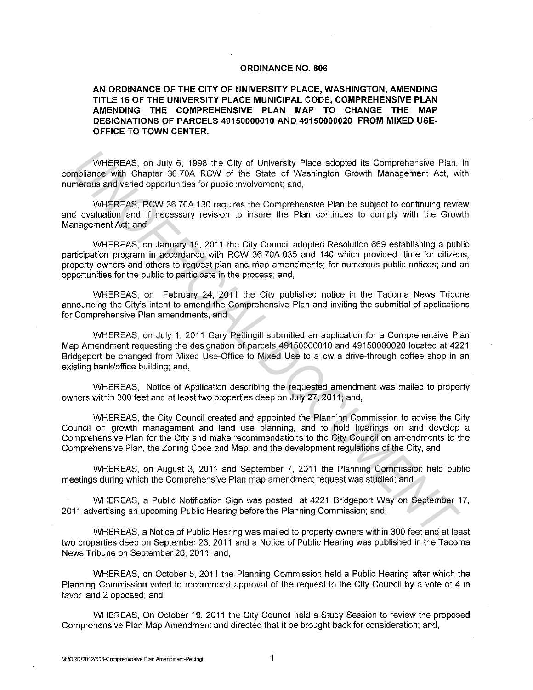## **ORDINANCE NO. 606**

## **AN ORDINANCE OF THE CITY OF UNIVERSITY PLACE, WASHINGTON, AMENDING TITLE 16 OF THE UNIVERSITY PLACE MUNICIPAL CODE, COMPREHENSIVE PLAN AMENDING THE COMPREHENSIVE PLAN MAP TO CHANGE THE MAP DESIGNATIONS OF PARCELS 49150000010 AND 49150000020 FROM MIXED USE-OFFICE TO TOWN CENTER.**

WHEREAS, on July 6, 1998 the City of University Place adopted its Comprehensive Plan, in compliance with Chapter 36.70A RCW of the State of Washington Growth Management Act, with numerous and varied opportunities for public involvement; and,

WHEREAS, RCW 36.70A.130 requires the Comprehensive Plan be subject to continuing review and evaluation and if necessary revision to insure the Plan continues to comply with the Growth Management Act; and

WHEREAS, on January 18, 2011 the City Council adopted Resolution 669 establishing a public participation program in accordance with RCW 36.70A.035 and 140 which provided; time for citizens, property owners and others to request plan and map amendments; for numerous public notices; and an opportunities for the public to participate in the process; and,

WHEREAS, on February 24, 2011 the City published notice in the Tacoma News Tribune announcing the City's intent to amend the Comprehensive Plan and inviting the submittal of applications for Comprehensive Plan amendments, and

WHEREAS, on July 1, 2011 Gary Pettingill submitted an application for a Comprehensive Plan Map Amendment requesting the designation of parcels 49150000010 and 49150000020 located at 4221 Bridgeport be changed from Mixed Use-Office to Mixed Use to allow a drive-through coffee shop in an existing bank/office building; and, WHEREAS, on July 6, 1998 the City of University Place adopted its Comprehensive Plan,<br>milimizince with Chapter 36.704 RCW of the State of Washington Growth Management Act, w<br>milimizince with Chapter 36.704 RCW of the State

WHEREAS, Notice of Application describing the requested amendment was mailed to property owners within 300 feet and at least two properties deep on July 27, 2011; and,

WHEREAS, the City Council created and appointed the Planning Commission to advise the City Council on growth management and land use planning, and to hold hearings on and develop a Comprehensive Plan for the City and make recommendations to the City Council on amendments to the Comprehensive Plan, the Zoning Code and Map, and the development regulations of the City, and

WHEREAS, on August 3, 2011 and September 7, 2011 the Planning Commission held public meetings during which the Comprehensive Plan map amendment request was studied; and

WHEREAS, a Public Notification Sign was posted at 4221 Bridgeport Way on September 17, 2011 advertising an upcoming Public Hearing before the Planning Commission; and,

WHEREAS, a Notice of Public Hearing was mailed to property owners within 300 feet and at least two properties deep on September 23, 2011 and a Notice of Public Hearing was published in the Tacoma News Tribune on September 26, 2011; and,

WHEREAS, on October 5, 2011 the Planning Commission held a Public Hearing after which the Planning Commission voted to recommend approval of the request to the City Council by a vote of 4 in favor and 2 opposed; and,

WHEREAS, On October 19, 2011 the City Council held a Study Session to review the proposed Comprehensive Plan Map Amendment and directed that it be brought back for consideration; and,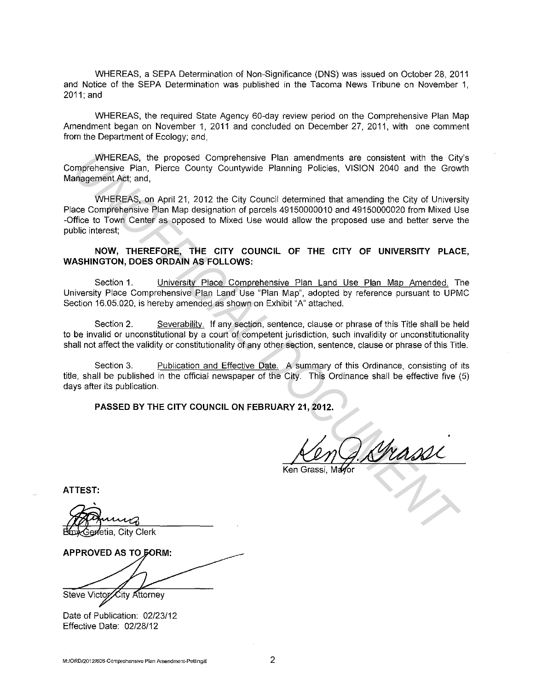WHEREAS, a SEPA Determination of Non-Significance (DNS) was issued on October 28, 2011 and Notice of the SEPA Determination was published in the Tacoma News Tribune on November 1, 2011;and

WHEREAS, the required State Agency 60-day review period on the Comprehensive Plan Map Amendment began on November 1, 2011 and concluded on December 27, 2011, with one comment from the Department of Ecology; and,

WHEREAS, the proposed Comprehensive Plan amendments are consistent with the City's Comprehensive Plan, Pierce County Countywide Planning Policies, VISION 2040 and the Growth Management Act; and,

WHEREAS, on April 21, 2012 the City Council determined that amending the City of University Place Comprehensive Plan Map designation of parcels 49150000010 and 49150000020 from Mixed Use -Office to Town Center as opposed to Mixed Use would allow the proposed use and better serve the public interest; WHEREAS, the proposed Comprehensive Plan amendments are consistent with the Gity<br>numeriensity e Plan, Pierce County Countywide Planning Policies, VISION 2040 and the Grow<br>angement Act: and,<br>misgenent Act: and,<br>MHEREAS, on

**NOW, THEREFORE, THE CITY COUNCIL OF THE CITY OF UNIVERSITY PLACE, WASHINGTON, DOES ORDAIN AS FOLLOWS:** 

Section 1. University Place Comprehensive Plan Land Use Plan Map Amended. The University Place Comprehensive Plan Land Use "Plan Map", adopted by reference pursuant to UPMC Section 16.05.020, is hereby amended as shown on Exhibit "A" attached.

Section 2. Severability. If any section, sentence, clause or phrase of this Title shall be held to be invalid or unconstitutional by a court of competent jurisdiction, such invalidity or unconstitutionality shall not affect the validity or constitutionality of any other section, sentence, clause or phrase of this Title.

Section 3. Publication and Effective Date. A summary of this Ordinance, consisting of its title, shall be published in the official newspaper of the City. This Ordinance shall be effective five (5) days after its publication.

**PASSED BY THE CITY COUNCIL ON FEBRUARY 21, 2012.** 

**ATTEST:** 

enetia, City Clerk

APPROVED AS TO GORM:

Steve Victor ∕City Attorney

Date of Publication: 02/23/12 Effective Date: 02/28/12